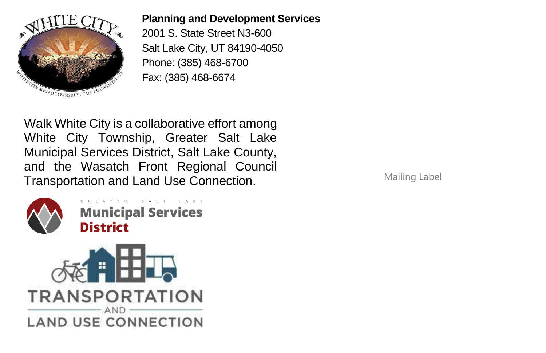

## **Planning and Development Services**

2001 S. State Street N3-600 Salt Lake City, UT 84190-4050 Phone: (385) 468-6700 Fax: (385) 468-6674

Walk White City is a collaborative effort among White City Township, Greater Salt Lake Municipal Services District, Salt Lake County, and the Wasatch Front Regional Council Transportation and Land Use Connection.



ATER SALT **Municipal Services District** 



Mailing Label